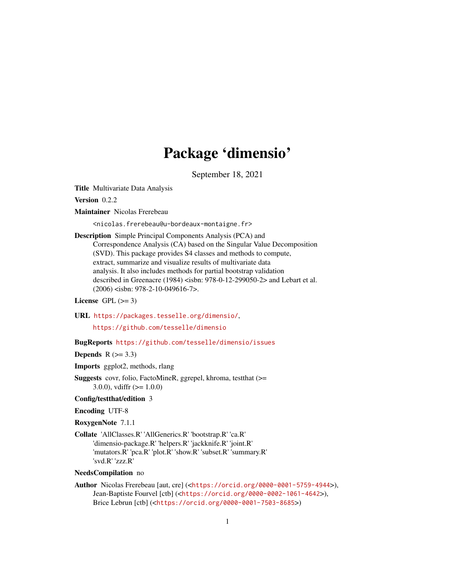## Package 'dimensio'

September 18, 2021

<span id="page-0-0"></span>Title Multivariate Data Analysis

Version 0.2.2

Maintainer Nicolas Frerebeau

<nicolas.frerebeau@u-bordeaux-montaigne.fr>

Description Simple Principal Components Analysis (PCA) and Correspondence Analysis (CA) based on the Singular Value Decomposition (SVD). This package provides S4 classes and methods to compute, extract, summarize and visualize results of multivariate data analysis. It also includes methods for partial bootstrap validation described in Greenacre (1984) <isbn: 978-0-12-299050-2> and Lebart et al. (2006) <isbn: 978-2-10-049616-7>.

#### License GPL  $(>= 3)$

URL <https://packages.tesselle.org/dimensio/>,

<https://github.com/tesselle/dimensio>

#### BugReports <https://github.com/tesselle/dimensio/issues>

Depends  $R$  ( $>= 3.3$ )

Imports ggplot2, methods, rlang

Suggests covr, folio, FactoMineR, ggrepel, khroma, testthat (>= 3.0.0), vdiffr  $(>= 1.0.0)$ 

#### Config/testthat/edition 3

Encoding UTF-8

RoxygenNote 7.1.1

Collate 'AllClasses.R' 'AllGenerics.R' 'bootstrap.R' 'ca.R' 'dimensio-package.R' 'helpers.R' 'jackknife.R' 'joint.R' 'mutators.R' 'pca.R' 'plot.R' 'show.R' 'subset.R' 'summary.R' 'svd.R' 'zzz.R'

## NeedsCompilation no

Author Nicolas Frerebeau [aut, cre] (<<https://orcid.org/0000-0001-5759-4944>>), Jean-Baptiste Fourvel [ctb] (<<https://orcid.org/0000-0002-1061-4642>>), Brice Lebrun [ctb] (<<https://orcid.org/0000-0001-7503-8685>>)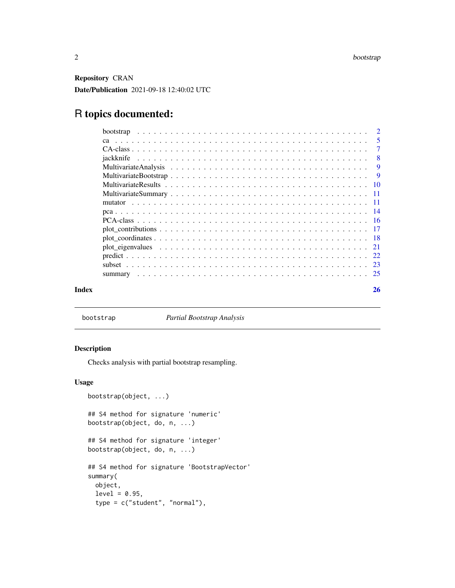<span id="page-1-0"></span>Repository CRAN Date/Publication 2021-09-18 12:40:02 UTC

## R topics documented:

|       |                                                                                                               | -5     |
|-------|---------------------------------------------------------------------------------------------------------------|--------|
|       |                                                                                                               | $\tau$ |
|       |                                                                                                               | - 8    |
|       |                                                                                                               | -9     |
|       |                                                                                                               |        |
|       |                                                                                                               |        |
|       |                                                                                                               |        |
|       |                                                                                                               |        |
|       |                                                                                                               |        |
|       |                                                                                                               |        |
|       |                                                                                                               |        |
|       |                                                                                                               |        |
|       | plot eigenvalues $\ldots \ldots \ldots \ldots \ldots \ldots \ldots \ldots \ldots \ldots \ldots \ldots \ldots$ |        |
|       |                                                                                                               |        |
|       |                                                                                                               |        |
|       |                                                                                                               |        |
| Index |                                                                                                               | 26     |

<span id="page-1-1"></span>bootstrap *Partial Bootstrap Analysis*

## Description

Checks analysis with partial bootstrap resampling.

## Usage

```
bootstrap(object, ...)
## S4 method for signature 'numeric'
bootstrap(object, do, n, ...)
## S4 method for signature 'integer'
bootstrap(object, do, n, ...)
## S4 method for signature 'BootstrapVector'
summary(
 object,
 level = 0.95,type = c("student", "normal"),
```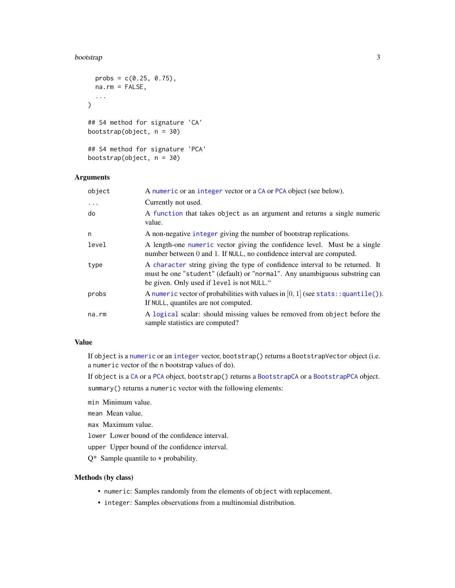#### <span id="page-2-0"></span>bootstrap 3 and 3 and 3 and 3 and 3 and 3 and 3 and 3 and 3 and 3 and 3 and 3 and 3 and 3 and 3 and 3 and 3 and 3 and 3 and 3 and 3 and 3 and 3 and 3 and 3 and 3 and 3 and 3 and 3 and 3 and 3 and 3 and 3 and 3 and 3 and 3

```
probs = c(0.25, 0.75),
 na.rm = FALSE,
  ...
\lambda## S4 method for signature 'CA'
bootstrap(object, n = 30)
## S4 method for signature 'PCA'
bootstrap(object, n = 30)
```
### Arguments

| object   | A numeric or an integer vector or a CA or PCA object (see below).                                                                                                                                        |
|----------|----------------------------------------------------------------------------------------------------------------------------------------------------------------------------------------------------------|
| $\cdots$ | Currently not used.                                                                                                                                                                                      |
| do       | A function that takes object as an argument and returns a single numeric<br>value.                                                                                                                       |
| n        | A non-negative integer giving the number of bootstrap replications.                                                                                                                                      |
| level    | A length-one numeric vector giving the confidence level. Must be a single<br>number between 0 and 1. If NULL, no confidence interval are computed.                                                       |
| type     | A character string giving the type of confidence interval to be returned. It<br>must be one "student" (default) or "normal". Any unambiguous substring can<br>be given. Only used if level is not NULL." |
| probs    | A numeric vector of probabilities with values in $[0, 1]$ (see stats:: quantile()).<br>If NULL, quantiles are not computed.                                                                              |
| na.rm    | A logical scalar: should missing values be removed from object before the<br>sample statistics are computed?                                                                                             |

#### Value

If object is a [numeric](#page-0-0) or an [integer](#page-0-0) vector, bootstrap() returns a BootstrapVector object (i.e. a numeric vector of the n bootstrap values of do).

If object is a [CA](#page-6-1) or a [PCA](#page-15-1) object, bootstrap() returns a [BootstrapCA](#page-6-2) or a [BootstrapPCA](#page-15-2) object.

summary() returns a numeric vector with the following elements:

min Minimum value.

mean Mean value.

max Maximum value.

lower Lower bound of the confidence interval.

upper Upper bound of the confidence interval.

 $Q^*$  Sample quantile to  $*$  probability.

## Methods (by class)

- numeric: Samples randomly from the elements of object with replacement.
- integer: Samples observations from a multinomial distribution.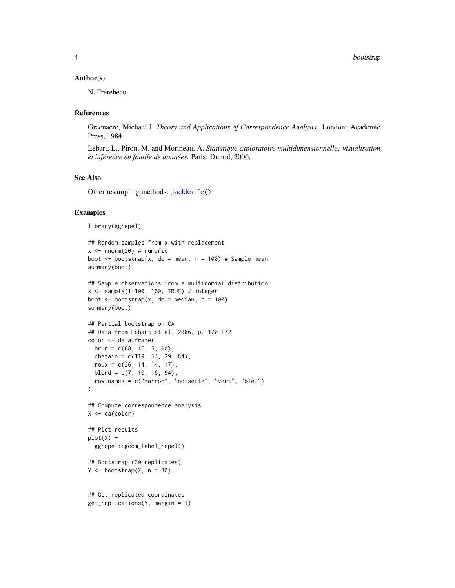#### <span id="page-3-0"></span>Author(s)

N. Frerebeau

#### References

Greenacre, Michael J. *Theory and Applications of Correspondence Analysis*. London: Academic Press, 1984.

Lebart, L., Piron, M. and Morineau, A. *Statistique exploratoire multidimensionnelle: visualisation et inférence en fouille de données*. Paris: Dunod, 2006.

## See Also

Other resampling methods: [jackknife\(](#page-7-1))

## Examples

library(ggrepel)

```
## Random samples from x with replacement
x \le - rnorm(20) # numeric
boot \leq bootstrap(x, do = mean, n = 100) # Sample mean
summary(boot)
## Sample observations from a multinomial distribution
x \le - sample(1:100, 100, TRUE) # integer
boot \leq bootstrap(x, do = median, n = 100)
summary(boot)
## Partial bootstrap on CA
## Data from Lebart et al. 2006, p. 170-172
color <- data.frame(
 brun = c(68, 15, 5, 20),
  chatain = c(119, 54, 29, 84),
  roux = c(26, 14, 14, 17),blond = c(7, 10, 16, 94),
  row.names = c("marron", "noisette", "vert", "bleu")
)
## Compute correspondence analysis
X \leftarrow ca(color)## Plot results
plot(X) +
  ggrepel::geom_label_repel()
## Bootstrap (30 replicates)
Y \le - bootstrap(X, n = 30)
## Get replicated coordinates
get_replications(Y, margin = 1)
```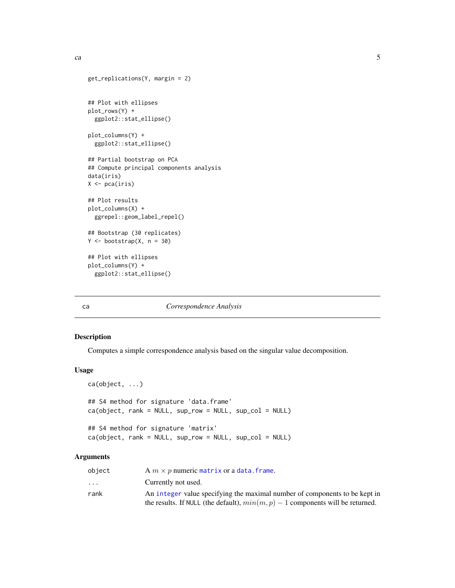```
get_replications(Y, margin = 2)
## Plot with ellipses
plot_rows(Y) +
  ggplot2::stat_ellipse()
plot_columns(Y) +
  ggplot2::stat_ellipse()
## Partial bootstrap on PCA
## Compute principal components analysis
data(iris)
X \leftarrow pca(iris)## Plot results
plot_columns(X) +
  ggrepel::geom_label_repel()
## Bootstrap (30 replicates)
Y \le - bootstrap(X, n = 30)
## Plot with ellipses
plot_columns(Y) +
  ggplot2::stat_ellipse()
```
## <span id="page-4-1"></span>ca *Correspondence Analysis*

#### Description

Computes a simple correspondence analysis based on the singular value decomposition.

#### Usage

```
ca(object, ...)
## S4 method for signature 'data.frame'
ca(object, rank = NULL, sup_{row} = NULL, sup_{col} = NULL)## S4 method for signature 'matrix'
ca(object, rank = NULL, sup_row = NULL, sup_col = NULL)
```
## Arguments

| object                  | A $m \times p$ numeric matrix or a data. frame.                                  |
|-------------------------|----------------------------------------------------------------------------------|
| $\cdot$ $\cdot$ $\cdot$ | Currently not used.                                                              |
| rank                    | An integer value specifying the maximal number of components to be kept in       |
|                         | the results. If NULL (the default), $min(m, p) - 1$ components will be returned. |

<span id="page-4-0"></span>ca  $\sim$  5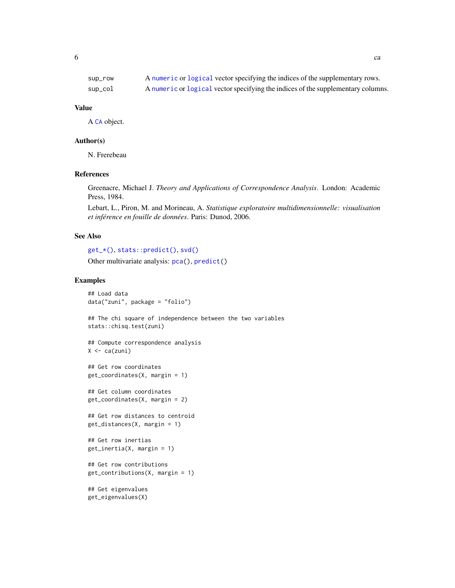<span id="page-5-0"></span>

| sup_row | A numeric or logical vector specifying the indices of the supplementary rows.    |
|---------|----------------------------------------------------------------------------------|
| sup_col | A numeric or logical vector specifying the indices of the supplementary columns. |

#### Value

A [CA](#page-6-1) object.

#### Author(s)

N. Frerebeau

#### References

Greenacre, Michael J. *Theory and Applications of Correspondence Analysis*. London: Academic Press, 1984.

Lebart, L., Piron, M. and Morineau, A. *Statistique exploratoire multidimensionnelle: visualisation et inférence en fouille de données*. Paris: Dunod, 2006.

#### See Also

```
get_*(), stats::predict(), svd()
```
Other multivariate analysis: [pca\(](#page-13-1)), [predict\(](#page-21-1))

#### Examples

## Load data data("zuni", package = "folio") ## The chi square of independence between the two variables stats::chisq.test(zuni)

```
## Compute correspondence analysis
X \leftarrow ca(zuni)
```
## Get row coordinates get\_coordinates(X, margin = 1)

## Get column coordinates get\_coordinates(X, margin = 2)

```
## Get row distances to centroid
get_distances(X, margin = 1)
```

```
## Get row inertias
get_inertia(X, margin = 1)
```

```
## Get row contributions
get_contributions(X, margin = 1)
```
## Get eigenvalues get\_eigenvalues(X)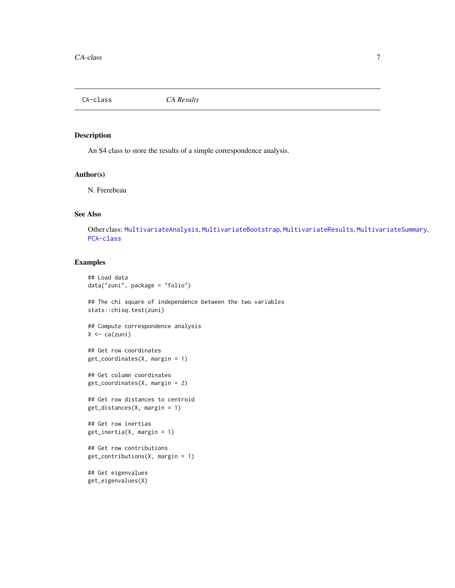<span id="page-6-1"></span><span id="page-6-0"></span>CA-class *CA Results*

## <span id="page-6-2"></span>Description

An S4 class to store the results of a simple correspondence analysis.

#### Author(s)

N. Frerebeau

## See Also

Other class: [MultivariateAnalysis](#page-8-1), [MultivariateBootstrap](#page-8-2), [MultivariateResults](#page-9-1), [MultivariateSummary](#page-10-2), [PCA-class](#page-15-1)

## Examples

```
## Load data
data("zuni", package = "folio")
## The chi square of independence between the two variables
stats::chisq.test(zuni)
## Compute correspondence analysis
X \leftarrow ca(zuni)## Get row coordinates
get_coordinates(X, margin = 1)
## Get column coordinates
get_coordinates(X, margin = 2)
## Get row distances to centroid
get_distances(X, margin = 1)
## Get row inertias
get_inertia(X, margin = 1)
## Get row contributions
get_contributions(X, margin = 1)
```
## Get eigenvalues get\_eigenvalues(X)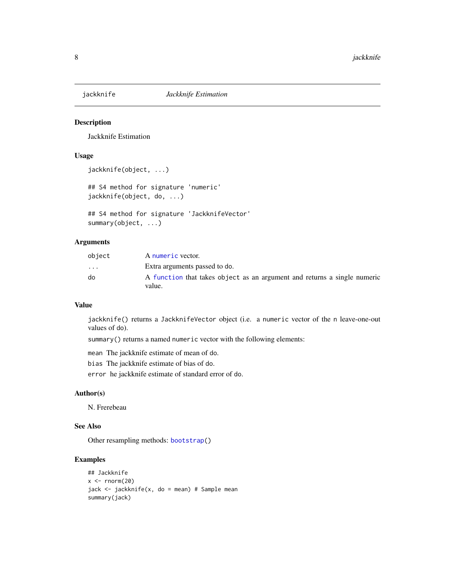<span id="page-7-1"></span><span id="page-7-0"></span>

## Description

Jackknife Estimation

## Usage

```
jackknife(object, ...)
```

```
## S4 method for signature 'numeric'
jackknife(object, do, ...)
```

```
## S4 method for signature 'JackknifeVector'
summary(object, ...)
```
## Arguments

| object                  | A numeric vector.                                                                  |
|-------------------------|------------------------------------------------------------------------------------|
| $\cdot$ $\cdot$ $\cdot$ | Extra arguments passed to do.                                                      |
| do                      | A function that takes object as an argument and returns a single numeric<br>value. |

#### Value

jackknife() returns a JackknifeVector object (i.e. a numeric vector of the n leave-one-out values of do).

summary() returns a named numeric vector with the following elements:

mean The jackknife estimate of mean of do.

bias The jackknife estimate of bias of do.

error he jackknife estimate of standard error of do.

#### Author(s)

N. Frerebeau

## See Also

Other resampling methods: [bootstrap\(](#page-1-1))

## Examples

```
## Jackknife
x < - rnorm(20)
jack <- jackknife(x, do = mean) # Sample mean
summary(jack)
```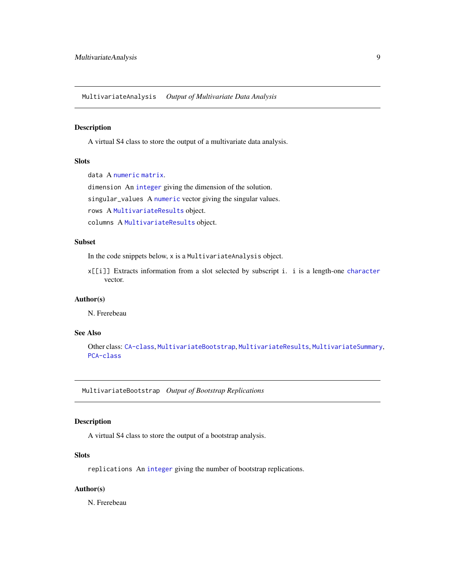<span id="page-8-1"></span><span id="page-8-0"></span>MultivariateAnalysis *Output of Multivariate Data Analysis*

## Description

A virtual S4 class to store the output of a multivariate data analysis.

## **Slots**

data A [numeric](#page-0-0) [matrix](#page-0-0).

dimension An [integer](#page-0-0) giving the dimension of the solution.

singular\_values A [numeric](#page-0-0) vector giving the singular values.

rows A [MultivariateResults](#page-9-2) object.

columns A [MultivariateResults](#page-9-2) object.

## Subset

In the code snippets below, x is a MultivariateAnalysis object.

x[[i]] Extracts information from a slot selected by subscript i. i is a length-one [character](#page-0-0) vector.

#### Author(s)

N. Frerebeau

#### See Also

Other class: [CA-class](#page-6-1), [MultivariateBootstrap](#page-8-2), [MultivariateResults](#page-9-1), [MultivariateSummary](#page-10-2), [PCA-class](#page-15-1)

<span id="page-8-2"></span>MultivariateBootstrap *Output of Bootstrap Replications*

## Description

A virtual S4 class to store the output of a bootstrap analysis.

## Slots

replications An [integer](#page-0-0) giving the number of bootstrap replications.

## Author(s)

N. Frerebeau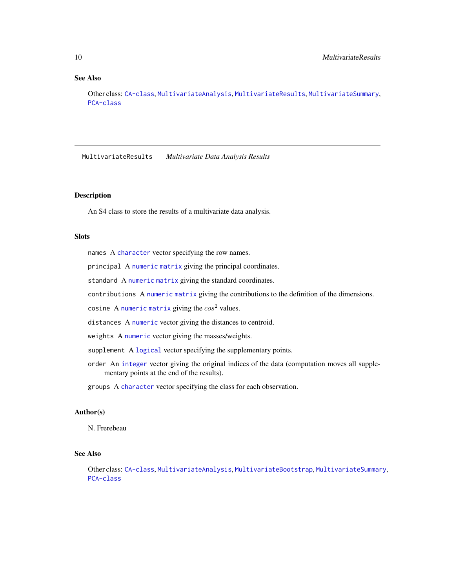## <span id="page-9-0"></span>See Also

Other class: [CA-class](#page-6-1), [MultivariateAnalysis](#page-8-1), [MultivariateResults](#page-9-1), [MultivariateSummary](#page-10-2), [PCA-class](#page-15-1)

<span id="page-9-1"></span>MultivariateResults *Multivariate Data Analysis Results*

## <span id="page-9-2"></span>Description

An S4 class to store the results of a multivariate data analysis.

#### Slots

names A [character](#page-0-0) vector specifying the row names.

principal A [numeric](#page-0-0) [matrix](#page-0-0) giving the principal coordinates.

standard A [numeric](#page-0-0) [matrix](#page-0-0) giving the standard coordinates.

contributions A [numeric](#page-0-0) [matrix](#page-0-0) giving the contributions to the definition of the dimensions.

cosine A [numeric](#page-0-0) [matrix](#page-0-0) giving the  $cos<sup>2</sup>$  values.

distances A [numeric](#page-0-0) vector giving the distances to centroid.

weights A [numeric](#page-0-0) vector giving the masses/weights.

supplement A [logical](#page-0-0) vector specifying the supplementary points.

order An [integer](#page-0-0) vector giving the original indices of the data (computation moves all supplementary points at the end of the results).

groups A [character](#page-0-0) vector specifying the class for each observation.

## Author(s)

N. Frerebeau

## See Also

Other class: [CA-class](#page-6-1), [MultivariateAnalysis](#page-8-1), [MultivariateBootstrap](#page-8-2), [MultivariateSummary](#page-10-2), [PCA-class](#page-15-1)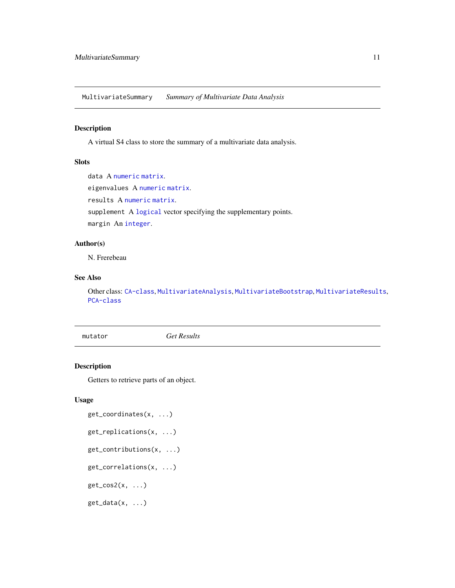<span id="page-10-2"></span><span id="page-10-0"></span>MultivariateSummary *Summary of Multivariate Data Analysis*

## Description

A virtual S4 class to store the summary of a multivariate data analysis.

## Slots

data A [numeric](#page-0-0) [matrix](#page-0-0).

eigenvalues A [numeric](#page-0-0) [matrix](#page-0-0).

results A [numeric](#page-0-0) [matrix](#page-0-0).

supplement A [logical](#page-0-0) vector specifying the supplementary points.

margin An [integer](#page-0-0).

## Author(s)

N. Frerebeau

## See Also

Other class: [CA-class](#page-6-1), [MultivariateAnalysis](#page-8-1), [MultivariateBootstrap](#page-8-2), [MultivariateResults](#page-9-1), [PCA-class](#page-15-1)

<span id="page-10-1"></span>mutator *Get Results*

## Description

Getters to retrieve parts of an object.

## Usage

```
get_coordinates(x, ...)
get_replications(x, ...)
get_contributions(x, ...)
get_correlations(x, ...)
get\_cos2(x, \ldots)get_data(x, ...)
```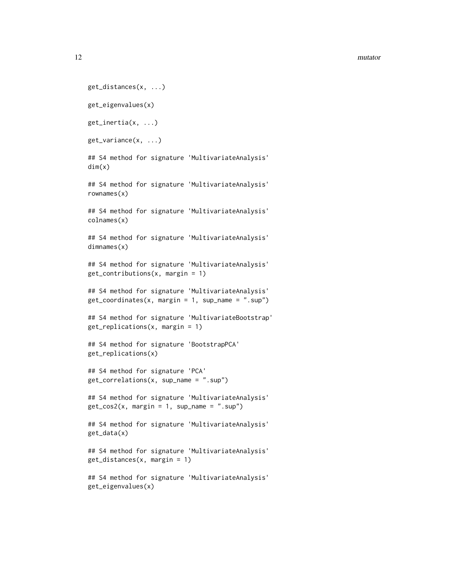#### 12 mutator mutator and the set of the set of the set of the set of the set of the set of the set of the set of the set of the set of the set of the set of the set of the set of the set of the set of the set of the set of t

```
get_distances(x, ...)
get_eigenvalues(x)
get_inertia(x, ...)
get_variance(x, ...)
## S4 method for signature 'MultivariateAnalysis'
dim(x)
## S4 method for signature 'MultivariateAnalysis'
rownames(x)
## S4 method for signature 'MultivariateAnalysis'
colnames(x)
## S4 method for signature 'MultivariateAnalysis'
dimnames(x)
## S4 method for signature 'MultivariateAnalysis'
get_contributions(x, margin = 1)
## S4 method for signature 'MultivariateAnalysis'
get\_coordinates(x, margin = 1, sup_name = "sup")## S4 method for signature 'MultivariateBootstrap'
get_replications(x, margin = 1)
## S4 method for signature 'BootstrapPCA'
get_replications(x)
## S4 method for signature 'PCA'
get_correlations(x, sup_name = ".sup")
## S4 method for signature 'MultivariateAnalysis'
get\_cos2(x, margin = 1, sup_name = "sup")## S4 method for signature 'MultivariateAnalysis'
get_data(x)
## S4 method for signature 'MultivariateAnalysis'
get_distances(x, margin = 1)
## S4 method for signature 'MultivariateAnalysis'
get_eigenvalues(x)
```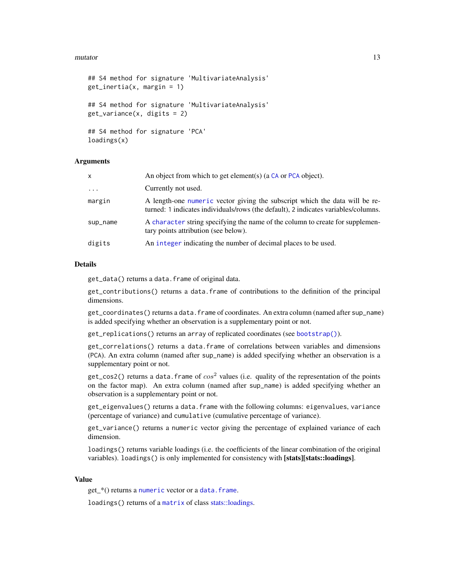#### <span id="page-12-0"></span>mutator 13

```
## S4 method for signature 'MultivariateAnalysis'
get\_inertia(x, margin = 1)## S4 method for signature 'MultivariateAnalysis'
get_variance(x, digits = 2)
## S4 method for signature 'PCA'
loadings(x)
```
## Arguments

| x         | An object from which to get element(s) (a $CA$ or $PCA$ object).                                                                                                  |
|-----------|-------------------------------------------------------------------------------------------------------------------------------------------------------------------|
| $\ddotsc$ | Currently not used.                                                                                                                                               |
| margin    | A length-one numeric vector giving the subscript which the data will be re-<br>turned: 1 indicates individuals/rows (the default), 2 indicates variables/columns. |
| sup_name  | A character string specifying the name of the column to create for supplemen-<br>tary points attribution (see below).                                             |
| digits    | An integer indicating the number of decimal places to be used.                                                                                                    |

#### Details

get\_data() returns a data.frame of original data.

get\_contributions() returns a data.frame of contributions to the definition of the principal dimensions.

get\_coordinates() returns a data.frame of coordinates. An extra column (named after sup\_name) is added specifying whether an observation is a supplementary point or not.

get\_replications() returns an array of replicated coordinates (see [bootstrap\(\)](#page-1-1)).

get\_correlations() returns a data.frame of correlations between variables and dimensions (PCA). An extra column (named after sup\_name) is added specifying whether an observation is a supplementary point or not.

get\_cos2() returns a data. frame of  $cos^2$  values (i.e. quality of the representation of the points on the factor map). An extra column (named after sup\_name) is added specifying whether an observation is a supplementary point or not.

get\_eigenvalues() returns a data.frame with the following columns: eigenvalues, variance (percentage of variance) and cumulative (cumulative percentage of variance).

get\_variance() returns a numeric vector giving the percentage of explained variance of each dimension.

loadings() returns variable loadings (i.e. the coefficients of the linear combination of the original variables). loadings() is only implemented for consistency with [stats][stats::loadings].

#### Value

get\_\*() returns a [numeric](#page-0-0) vector or a [data.frame](#page-0-0).

loadings() returns of a [matrix](#page-0-0) of class [stats::loadings.](#page-0-0)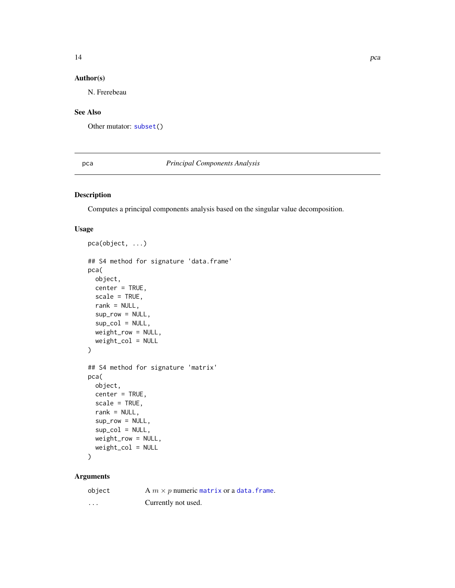## <span id="page-13-0"></span>Author(s)

N. Frerebeau

## See Also

Other mutator: [subset\(](#page-22-1))

## <span id="page-13-1"></span>pca *Principal Components Analysis*

## Description

Computes a principal components analysis based on the singular value decomposition.

## Usage

```
pca(object, ...)
## S4 method for signature 'data.frame'
pca(
 object,
 center = TRUE,
  scale = TRUE,
  rank = NULL,
  sup_row = NULL,
  sup\_col = NULL,weight_row = NULL,
 weight_col = NULL
)
## S4 method for signature 'matrix'
pca(
 object,
  center = TRUE,
  scale = TRUE,
  rank = NULL,sup_row = NULL,
  sup\_col = NULL,weight_row = NULL,
 weight_col = NULL
)
```
#### Arguments

| object   | A $m \times p$ numeric matrix or a data. frame. |
|----------|-------------------------------------------------|
| $\cdots$ | Currently not used.                             |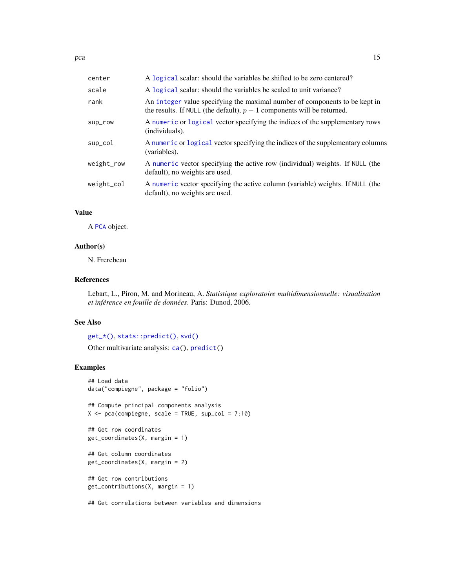<span id="page-14-0"></span>

| center     | A logical scalar: should the variables be shifted to be zero centered?                                                                               |
|------------|------------------------------------------------------------------------------------------------------------------------------------------------------|
| scale      | A logical scalar: should the variables be scaled to unit variance?                                                                                   |
| rank       | An integer value specifying the maximal number of components to be kept in<br>the results. If NULL (the default), $p-1$ components will be returned. |
| sup_row    | A numeric or logical vector specifying the indices of the supplementary rows<br>(individuals).                                                       |
| sup_col    | A numeric or logical vector specifying the indices of the supplementary columns<br>(variables).                                                      |
| weight_row | A numeric vector specifying the active row (individual) weights. If NULL (the<br>default), no weights are used.                                      |
| weight_col | A numeric vector specifying the active column (variable) weights. If NULL (the<br>default), no weights are used.                                     |

## Value

A [PCA](#page-15-1) object.

#### Author(s)

N. Frerebeau

#### References

Lebart, L., Piron, M. and Morineau, A. *Statistique exploratoire multidimensionnelle: visualisation et inférence en fouille de données*. Paris: Dunod, 2006.

#### See Also

[get\\_\\*\(\)](#page-10-1), [stats::predict\(\)](#page-0-0), [svd\(\)](#page-0-0) Other multivariate analysis: [ca\(](#page-4-1)), [predict\(](#page-21-1))

## Examples

```
## Load data
data("compiegne", package = "folio")
## Compute principal components analysis
X \leftarrow \text{pca}(\text{compigene}, \text{scale} = \text{TRUE}, \text{sup\_col} = 7:10)## Get row coordinates
get_coordinates(X, margin = 1)
## Get column coordinates
get_coordinates(X, margin = 2)
## Get row contributions
get_contributions(X, margin = 1)
```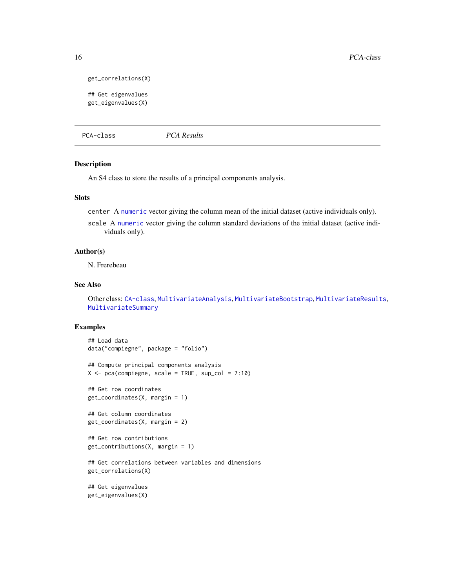```
get_correlations(X)
```
## Get eigenvalues get\_eigenvalues(X)

<span id="page-15-1"></span>PCA-class *PCA Results*

## <span id="page-15-2"></span>Description

An S4 class to store the results of a principal components analysis.

#### **Slots**

center A [numeric](#page-0-0) vector giving the column mean of the initial dataset (active individuals only).

scale A [numeric](#page-0-0) vector giving the column standard deviations of the initial dataset (active individuals only).

#### Author(s)

N. Frerebeau

## See Also

Other class: [CA-class](#page-6-1), [MultivariateAnalysis](#page-8-1), [MultivariateBootstrap](#page-8-2), [MultivariateResults](#page-9-1), [MultivariateSummary](#page-10-2)

#### Examples

```
## Load data
data("compiegne", package = "folio")
## Compute principal components analysis
X \leq pca(compiegne, scale = TRUE, sup_col = 7:10)
## Get row coordinates
get_coordinates(X, margin = 1)
## Get column coordinates
get_coordinates(X, margin = 2)
## Get row contributions
get_contributions(X, margin = 1)
## Get correlations between variables and dimensions
get_correlations(X)
## Get eigenvalues
get_eigenvalues(X)
```
<span id="page-15-0"></span>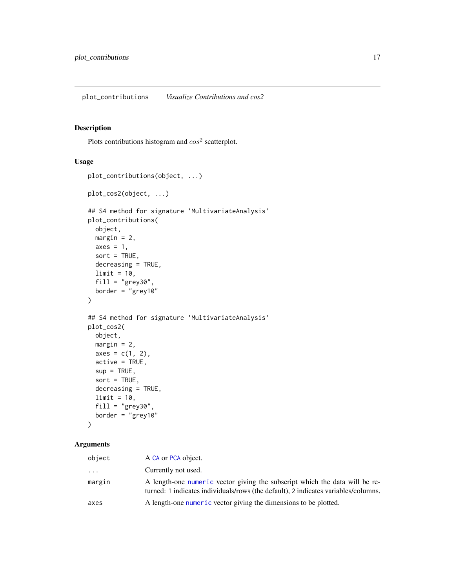## <span id="page-16-1"></span><span id="page-16-0"></span>Description

Plots contributions histogram and  $cos<sup>2</sup>$  scatterplot.

## Usage

```
plot_contributions(object, ...)
plot_cos2(object, ...)
## S4 method for signature 'MultivariateAnalysis'
plot_contributions(
 object,
 margin = 2,
 axes = 1,
 sort = TRUE,decreasing = TRUE,
 limit = 10,fill = "grey30",
 border = "grey10"
)
## S4 method for signature 'MultivariateAnalysis'
plot_cos2(
 object,
 margin = 2,
 axes = c(1, 2),active = TRUE,sup = TRUE,sort = TRUE,decreasing = TRUE,
 limit = 10,fill = "grey30",border = "grey10"
)
```
#### Arguments

| object   | A CA or PCA object.                                                                                                                                               |
|----------|-------------------------------------------------------------------------------------------------------------------------------------------------------------------|
| $\cdots$ | Currently not used.                                                                                                                                               |
| margin   | A length-one numeric vector giving the subscript which the data will be re-<br>turned: 1 indicates individuals/rows (the default), 2 indicates variables/columns. |
| axes     | A length-one numeric vector giving the dimensions to be plotted.                                                                                                  |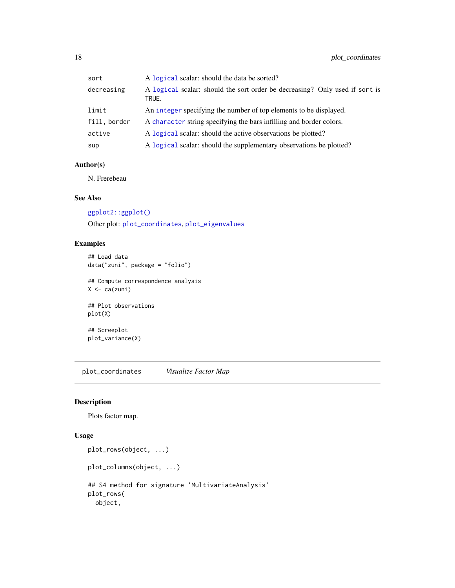<span id="page-17-0"></span>

| sort         | A logical scalar: should the data be sorted?                                         |
|--------------|--------------------------------------------------------------------------------------|
| decreasing   | A logical scalar: should the sort order be decreasing? Only used if sort is<br>TRUE. |
| limit        | An integer specifying the number of top elements to be displayed.                    |
| fill, border | A character string specifying the bars infilling and border colors.                  |
| active       | A logical scalar: should the active observations be plotted?                         |
| sup          | A logical scalar: should the supplementary observations be plotted?                  |
|              |                                                                                      |

## Author(s)

N. Frerebeau

#### See Also

[ggplot2::ggplot\(\)](#page-0-0)

Other plot: [plot\\_coordinates](#page-17-1), [plot\\_eigenvalues](#page-20-1)

## Examples

## Load data data("zuni", package = "folio")

## Compute correspondence analysis  $X \leftarrow ca(zuni)$ 

## Plot observations plot(X)

## Screeplot plot\_variance(X)

<span id="page-17-1"></span>plot\_coordinates *Visualize Factor Map*

## Description

Plots factor map.

#### Usage

```
plot_rows(object, ...)
plot_columns(object, ...)
## S4 method for signature 'MultivariateAnalysis'
plot_rows(
 object,
```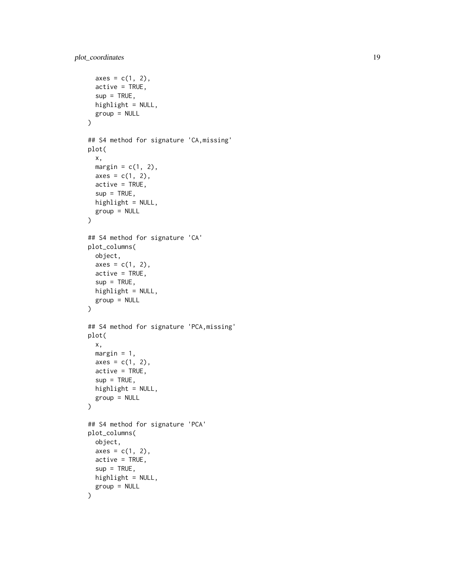```
axes = c(1, 2),active = TRUE,sup = TRUE,highlight = NULL,
 group = NULL
)
## S4 method for signature 'CA,missing'
plot(
  x,
 margin = c(1, 2),
 axes = c(1, 2),active = TRUE,sup = TRUE,highlight = NULL,
  group = NULL
\mathcal{L}## S4 method for signature 'CA'
plot_columns(
 object,
  axes = c(1, 2),active = TRUE,sup = TRUE,highlight = NULL,
  group = NULL
)
## S4 method for signature 'PCA,missing'
plot(
 x,
 margin = 1,
  axes = c(1, 2),active = TRUE,sup = TRUE,highlight = NULL,
 group = NULL
\mathcal{L}## S4 method for signature 'PCA'
plot_columns(
 object,
  axes = c(1, 2),active = TRUE,sup = TRUE,highlight = NULL,
  group = NULL
\mathcal{L}
```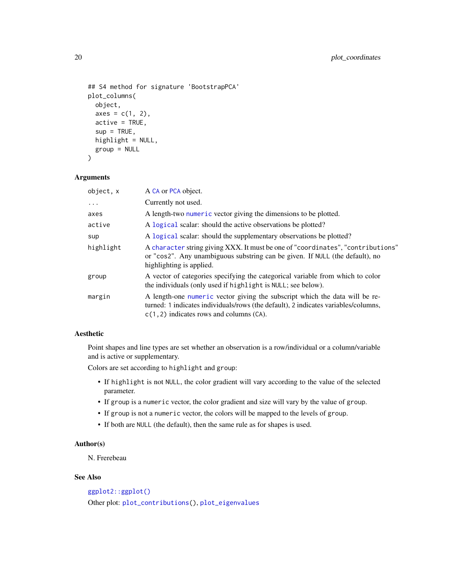```
## S4 method for signature 'BootstrapPCA'
plot_columns(
 object,
  axes = c(1, 2),active = TRUE,sup = TRUE,highlight = NULL,
 group = NULL
)
```
#### Arguments

| object, x  | A CA or PCA object.                                                                                                                                                                                             |
|------------|-----------------------------------------------------------------------------------------------------------------------------------------------------------------------------------------------------------------|
| $\ddots$ . | Currently not used.                                                                                                                                                                                             |
| axes       | A length-two numeric vector giving the dimensions to be plotted.                                                                                                                                                |
| active     | A logical scalar: should the active observations be plotted?                                                                                                                                                    |
| sup        | A logical scalar: should the supplementary observations be plotted?                                                                                                                                             |
| highlight  | A character string giving XXX. It must be one of "coordinates", "contributions"<br>or "cos2". Any unambiguous substring can be given. If NULL (the default), no<br>highlighting is applied.                     |
| group      | A vector of categories specifying the categorical variable from which to color<br>the individuals (only used if highlight is NULL; see below).                                                                  |
| margin     | A length-one numeric vector giving the subscript which the data will be re-<br>turned: 1 indicates individuals/rows (the default), 2 indicates variables/columns,<br>$c(1, 2)$ indicates rows and columns (CA). |

#### Aesthetic

Point shapes and line types are set whether an observation is a row/individual or a column/variable and is active or supplementary.

Colors are set according to highlight and group:

- If highlight is not NULL, the color gradient will vary according to the value of the selected parameter.
- If group is a numeric vector, the color gradient and size will vary by the value of group.
- If group is not a numeric vector, the colors will be mapped to the levels of group.
- If both are NULL (the default), then the same rule as for shapes is used.

## Author(s)

N. Frerebeau

## See Also

```
ggplot2::ggplot()
Other plot: plot_contributions(), plot_eigenvalues
```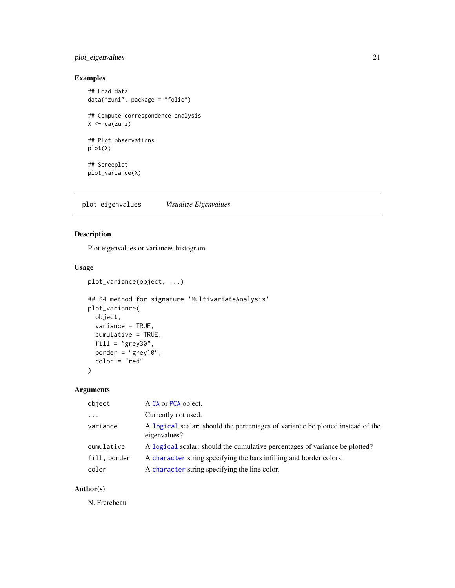## <span id="page-20-0"></span>plot\_eigenvalues 21

## Examples

```
## Load data
data("zuni", package = "folio")
## Compute correspondence analysis
X \leftarrow ca(zuni)## Plot observations
plot(X)
## Screeplot
plot_variance(X)
```
<span id="page-20-1"></span>plot\_eigenvalues *Visualize Eigenvalues*

## Description

Plot eigenvalues or variances histogram.

## Usage

```
plot_variance(object, ...)
```

```
## S4 method for signature 'MultivariateAnalysis'
plot_variance(
 object,
 variance = TRUE,
 cumulative = TRUE,
  fill = "grey30",border = "grey10",
  color = "red"
)
```
## Arguments

| object       | A CA or PCA object.                                                                            |
|--------------|------------------------------------------------------------------------------------------------|
| $\cdot$      | Currently not used.                                                                            |
| variance     | A logical scalar: should the percentages of variance be plotted instead of the<br>eigenvalues? |
| cumulative   | A logical scalar: should the cumulative percentages of variance be plotted?                    |
| fill, border | A character string specifying the bars infilling and border colors.                            |
| color        | A character string specifying the line color.                                                  |

## Author(s)

N. Frerebeau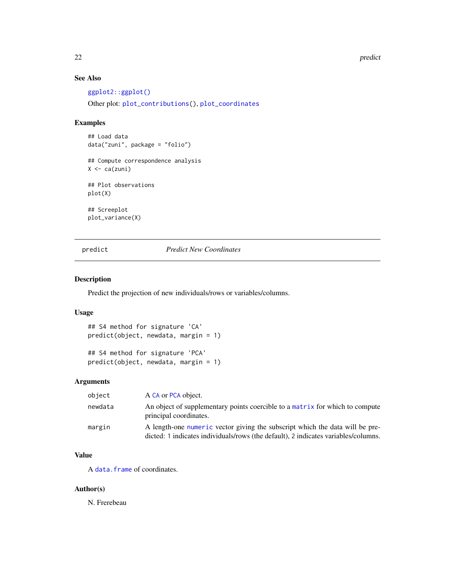#### 22 predict the set of the set of the set of the set of the set of the set of the set of the set of the set of the set of the set of the set of the set of the set of the set of the set of the set of the set of the set of th

## See Also

[ggplot2::ggplot\(\)](#page-0-0) Other plot: [plot\\_contributions\(](#page-16-1)), [plot\\_coordinates](#page-17-1)

## Examples

## Load data data("zuni", package = "folio") ## Compute correspondence analysis  $X \leftarrow ca(zuni)$ ## Plot observations plot(X) ## Screeplot plot\_variance(X)

## <span id="page-21-1"></span>predict *Predict New Coordinates*

#### Description

Predict the projection of new individuals/rows or variables/columns.

## Usage

```
## S4 method for signature 'CA'
predict(object, newdata, margin = 1)
```
## S4 method for signature 'PCA' predict(object, newdata, margin = 1)

## Arguments

| object  | A CA or PCA object.                                                                                                                                                |
|---------|--------------------------------------------------------------------------------------------------------------------------------------------------------------------|
| newdata | An object of supplementary points coercible to a matrix for which to compute<br>principal coordinates.                                                             |
| margin  | A length-one numeric vector giving the subscript which the data will be pre-<br>dicted: 1 indicates individuals/rows (the default), 2 indicates variables/columns. |

## Value

A [data.frame](#page-0-0) of coordinates.

## Author(s)

N. Frerebeau

<span id="page-21-0"></span>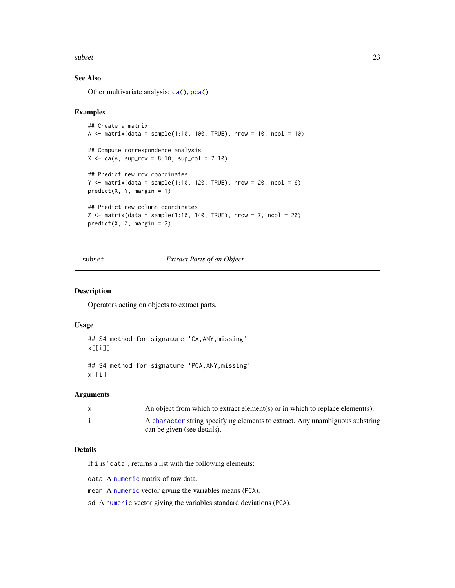#### <span id="page-22-0"></span>subset 23

## See Also

Other multivariate analysis: [ca\(](#page-4-1)), [pca\(](#page-13-1))

#### Examples

```
## Create a matrix
A \le matrix(data = sample(1:10, 100, TRUE), nrow = 10, ncol = 10)
## Compute correspondence analysis
X \leq -ca(A, \text{ sup\_row} = 8:10, \text{ sup\_col} = 7:10)## Predict new row coordinates
Y \le matrix(data = sample(1:10, 120, TRUE), nrow = 20, ncol = 6)
predict(X, Y, margin = 1)
## Predict new column coordinates
Z \le matrix(data = sample(1:10, 140, TRUE), nrow = 7, ncol = 20)
predict(X, Z, margin = 2)
```
<span id="page-22-1"></span>subset *Extract Parts of an Object*

#### Description

Operators acting on objects to extract parts.

#### Usage

```
## S4 method for signature 'CA,ANY,missing'
x[[i]]
```

```
## S4 method for signature 'PCA,ANY,missing'
x[[i]]
```
#### Arguments

| X | An object from which to extract element(s) or in which to replace element(s).                               |
|---|-------------------------------------------------------------------------------------------------------------|
|   | A character string specifying elements to extract. Any unambiguous substring<br>can be given (see details). |

## Details

If i is "data", returns a list with the following elements:

data A [numeric](#page-0-0) matrix of raw data.

mean A [numeric](#page-0-0) vector giving the variables means (PCA).

sd A [numeric](#page-0-0) vector giving the variables standard deviations (PCA).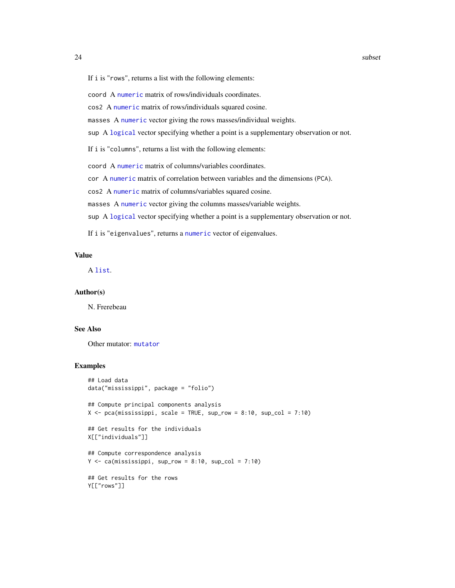<span id="page-23-0"></span>If i is "rows", returns a list with the following elements:

#### coord A [numeric](#page-0-0) matrix of rows/individuals coordinates.

cos2 A [numeric](#page-0-0) matrix of rows/individuals squared cosine.

masses A [numeric](#page-0-0) vector giving the rows masses/individual weights.

sup A [logical](#page-0-0) vector specifying whether a point is a supplementary observation or not.

If i is "columns", returns a list with the following elements:

coord A [numeric](#page-0-0) matrix of columns/variables coordinates.

cor A [numeric](#page-0-0) matrix of correlation between variables and the dimensions (PCA).

cos2 A [numeric](#page-0-0) matrix of columns/variables squared cosine.

masses A [numeric](#page-0-0) vector giving the columns masses/variable weights.

sup A [logical](#page-0-0) vector specifying whether a point is a supplementary observation or not.

If i is "eigenvalues", returns a [numeric](#page-0-0) vector of eigenvalues.

## Value

A [list](#page-0-0).

#### Author(s)

N. Frerebeau

#### See Also

Other mutator: [mutator](#page-10-1)

## Examples

```
## Load data
data("mississippi", package = "folio")
## Compute principal components analysis
X \leq pca(mississippi, scale = TRUE, sup_row = 8:10, sup_col = 7:10)
## Get results for the individuals
X[["individuals"]]
## Compute correspondence analysis
Y \leq -ca(mississippi, sup_{row} = 8:10, sup_{col} = 7:10)## Get results for the rows
Y[["rows"]]
```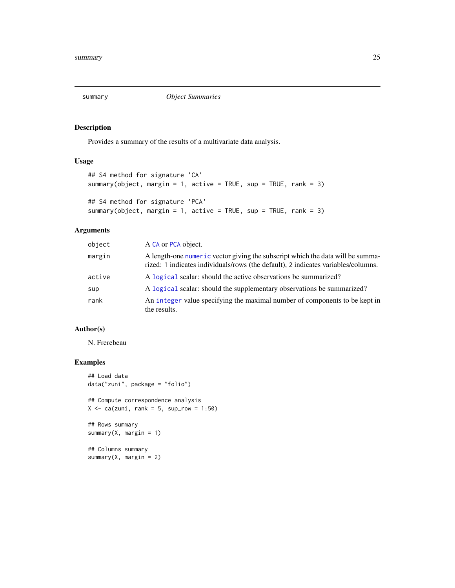<span id="page-24-0"></span>

## Description

Provides a summary of the results of a multivariate data analysis.

## Usage

```
## S4 method for signature 'CA'
summary(object, margin = 1, active = TRUE, sup = TRUE, rank = 3)
## S4 method for signature 'PCA'
summary(object, margin = 1, active = TRUE, sup = TRUE, rank = 3)
```
## Arguments

| object | A CA or PCA object.                                                                                                                                                 |
|--------|---------------------------------------------------------------------------------------------------------------------------------------------------------------------|
| margin | A length-one numeric vector giving the subscript which the data will be summa-<br>rized: 1 indicates individuals/rows (the default), 2 indicates variables/columns. |
| active | A logical scalar: should the active observations be summarized?                                                                                                     |
| sup    | A logical scalar: should the supplementary observations be summarized?                                                                                              |
| rank   | An integer value specifying the maximal number of components to be kept in<br>the results.                                                                          |

#### Author(s)

N. Frerebeau

#### Examples

```
## Load data
data("zuni", package = "folio")
## Compute correspondence analysis
X \leq -ca(zuni, rank = 5, sup_{row} = 1:50)## Rows summary
summary(X, margin = 1)
## Columns summary
summary(X, margin = 2)
```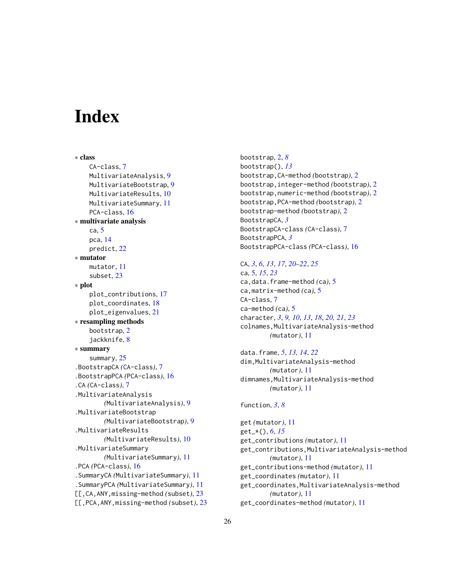# <span id="page-25-0"></span>**Index**

∗ class CA-class, [7](#page-6-0) MultivariateAnalysis, [9](#page-8-0) MultivariateBootstrap, [9](#page-8-0) MultivariateResults, [10](#page-9-0) MultivariateSummary, [11](#page-10-0) PCA-class, [16](#page-15-0) ∗ multivariate analysis ca, [5](#page-4-0) pca, [14](#page-13-0) predict, [22](#page-21-0) ∗ mutator mutator, [11](#page-10-0) subset, [23](#page-22-0) ∗ plot plot\_contributions, [17](#page-16-0) plot\_coordinates, [18](#page-17-0) plot\_eigenvalues, [21](#page-20-0) ∗ resampling methods bootstrap, [2](#page-1-0) jackknife, [8](#page-7-0) ∗ summary summary, [25](#page-24-0) .BootstrapCA *(*CA-class*)*, [7](#page-6-0) .BootstrapPCA *(*PCA-class*)*, [16](#page-15-0) .CA *(*CA-class*)*, [7](#page-6-0) .MultivariateAnalysis *(*MultivariateAnalysis*)*, [9](#page-8-0) .MultivariateBootstrap *(*MultivariateBootstrap*)*, [9](#page-8-0) .MultivariateResults *(*MultivariateResults*)*, [10](#page-9-0) .MultivariateSummary *(*MultivariateSummary*)*, [11](#page-10-0) .PCA *(*PCA-class*)*, [16](#page-15-0) .SummaryCA *(*MultivariateSummary*)*, [11](#page-10-0) .SummaryPCA *(*MultivariateSummary*)*, [11](#page-10-0) [[,CA,ANY,missing-method *(*subset*)*, [23](#page-22-0) [[,PCA,ANY,missing-method *(*subset*)*, [23](#page-22-0) bootstrap, [2,](#page-1-0) *[8](#page-7-0)* bootstrap(), *[13](#page-12-0)* bootstrap,CA-method *(*bootstrap*)*, [2](#page-1-0) bootstrap,integer-method *(*bootstrap*)*, [2](#page-1-0) bootstrap,numeric-method *(*bootstrap*)*, [2](#page-1-0) bootstrap,PCA-method *(*bootstrap*)*, [2](#page-1-0) bootstrap-method *(*bootstrap*)*, [2](#page-1-0) BootstrapCA, *[3](#page-2-0)* BootstrapCA-class *(*CA-class*)*, [7](#page-6-0) BootstrapPCA, *[3](#page-2-0)* BootstrapPCA-class *(*PCA-class*)*, [16](#page-15-0)

### CA, *[3](#page-2-0)*, *[6](#page-5-0)*, *[13](#page-12-0)*, *[17](#page-16-0)*, *[20](#page-19-0)[–22](#page-21-0)*, *[25](#page-24-0)*

ca, [5,](#page-4-0) *[15](#page-14-0)*, *[23](#page-22-0)* ca,data.frame-method *(*ca*)*, [5](#page-4-0) ca,matrix-method *(*ca*)*, [5](#page-4-0) CA-class, [7](#page-6-0) ca-method *(*ca*)*, [5](#page-4-0) character, *[3](#page-2-0)*, *[9,](#page-8-0) [10](#page-9-0)*, *[13](#page-12-0)*, *[18](#page-17-0)*, *[20,](#page-19-0) [21](#page-20-0)*, *[23](#page-22-0)* colnames,MultivariateAnalysis-method *(*mutator*)*, [11](#page-10-0)

data.frame, *[5](#page-4-0)*, *[13,](#page-12-0) [14](#page-13-0)*, *[22](#page-21-0)* dim,MultivariateAnalysis-method *(*mutator*)*, [11](#page-10-0) dimnames,MultivariateAnalysis-method *(*mutator*)*, [11](#page-10-0)

#### function, *[3](#page-2-0)*, *[8](#page-7-0)*

get *(*mutator*)*, [11](#page-10-0) get\_\*(), *[6](#page-5-0)*, *[15](#page-14-0)* get\_contributions *(*mutator*)*, [11](#page-10-0) get\_contributions,MultivariateAnalysis-method *(*mutator*)*, [11](#page-10-0) get\_contributions-method *(*mutator*)*, [11](#page-10-0) get\_coordinates *(*mutator*)*, [11](#page-10-0) get\_coordinates,MultivariateAnalysis-method *(*mutator*)*, [11](#page-10-0) get\_coordinates-method *(*mutator*)*, [11](#page-10-0)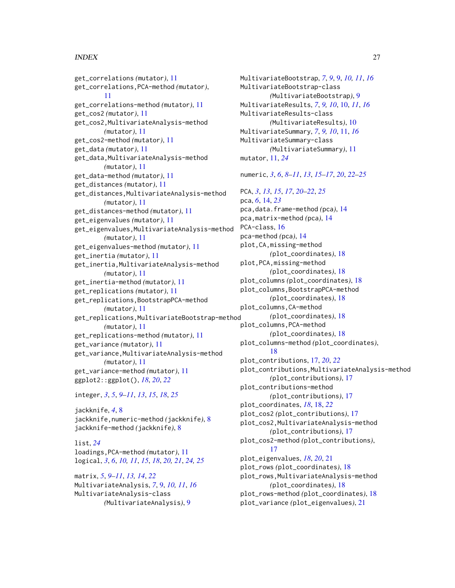## INDEX 27

get\_correlations *(*mutator*)*, [11](#page-10-0) get\_correlations,PCA-method *(*mutator*)*, [11](#page-10-0) get\_correlations-method *(*mutator*)*, [11](#page-10-0) get\_cos2 *(*mutator*)*, [11](#page-10-0) get\_cos2,MultivariateAnalysis-method *(*mutator*)*, [11](#page-10-0) get\_cos2-method *(*mutator*)*, [11](#page-10-0) get\_data *(*mutator*)*, [11](#page-10-0) get\_data,MultivariateAnalysis-method *(*mutator*)*, [11](#page-10-0) get\_data-method *(*mutator*)*, [11](#page-10-0) get\_distances *(*mutator*)*, [11](#page-10-0) get\_distances,MultivariateAnalysis-method *(*mutator*)*, [11](#page-10-0) get\_distances-method *(*mutator*)*, [11](#page-10-0) get\_eigenvalues *(*mutator*)*, [11](#page-10-0) get\_eigenvalues,MultivariateAnalysis-method *(*mutator*)*, [11](#page-10-0) get\_eigenvalues-method *(*mutator*)*, [11](#page-10-0) get\_inertia *(*mutator*)*, [11](#page-10-0) get\_inertia,MultivariateAnalysis-method *(*mutator*)*, [11](#page-10-0) get\_inertia-method *(*mutator*)*, [11](#page-10-0) get\_replications *(*mutator*)*, [11](#page-10-0) get\_replications,BootstrapPCA-method *(*mutator*)*, [11](#page-10-0) get\_replications,MultivariateBootstrap-method *(*mutator*)*, [11](#page-10-0) get\_replications-method *(*mutator*)*, [11](#page-10-0) get\_variance *(*mutator*)*, [11](#page-10-0) get\_variance,MultivariateAnalysis-method *(*mutator*)*, [11](#page-10-0) get\_variance-method *(*mutator*)*, [11](#page-10-0) ggplot2::ggplot(), *[18](#page-17-0)*, *[20](#page-19-0)*, *[22](#page-21-0)*

integer, *[3](#page-2-0)*, *[5](#page-4-0)*, *[9](#page-8-0)[–11](#page-10-0)*, *[13](#page-12-0)*, *[15](#page-14-0)*, *[18](#page-17-0)*, *[25](#page-24-0)*

jackknife, *[4](#page-3-0)*, [8](#page-7-0) jackknife,numeric-method *(*jackknife*)*, [8](#page-7-0) jackknife-method *(*jackknife*)*, [8](#page-7-0)

list, *[24](#page-23-0)* loadings,PCA-method *(*mutator*)*, [11](#page-10-0) logical, *[3](#page-2-0)*, *[6](#page-5-0)*, *[10,](#page-9-0) [11](#page-10-0)*, *[15](#page-14-0)*, *[18](#page-17-0)*, *[20,](#page-19-0) [21](#page-20-0)*, *[24,](#page-23-0) [25](#page-24-0)*

matrix, *[5](#page-4-0)*, *[9](#page-8-0)[–11](#page-10-0)*, *[13,](#page-12-0) [14](#page-13-0)*, *[22](#page-21-0)* MultivariateAnalysis, *[7](#page-6-0)*, [9,](#page-8-0) *[10,](#page-9-0) [11](#page-10-0)*, *[16](#page-15-0)* MultivariateAnalysis-class *(*MultivariateAnalysis*)*, [9](#page-8-0)

MultivariateBootstrap, *[7](#page-6-0)*, *[9](#page-8-0)*, [9,](#page-8-0) *[10,](#page-9-0) [11](#page-10-0)*, *[16](#page-15-0)* MultivariateBootstrap-class *(*MultivariateBootstrap*)*, [9](#page-8-0) MultivariateResults, *[7](#page-6-0)*, *[9,](#page-8-0) [10](#page-9-0)*, [10,](#page-9-0) *[11](#page-10-0)*, *[16](#page-15-0)* MultivariateResults-class *(*MultivariateResults*)*, [10](#page-9-0) MultivariateSummary, *[7](#page-6-0)*, *[9,](#page-8-0) [10](#page-9-0)*, [11,](#page-10-0) *[16](#page-15-0)* MultivariateSummary-class *(*MultivariateSummary*)*, [11](#page-10-0) mutator, [11,](#page-10-0) *[24](#page-23-0)* numeric, *[3](#page-2-0)*, *[6](#page-5-0)*, *[8](#page-7-0)[–11](#page-10-0)*, *[13](#page-12-0)*, *[15](#page-14-0)[–17](#page-16-0)*, *[20](#page-19-0)*, *[22](#page-21-0)[–25](#page-24-0)* PCA, *[3](#page-2-0)*, *[13](#page-12-0)*, *[15](#page-14-0)*, *[17](#page-16-0)*, *[20](#page-19-0)[–22](#page-21-0)*, *[25](#page-24-0)* pca, *[6](#page-5-0)*, [14,](#page-13-0) *[23](#page-22-0)* pca,data.frame-method *(*pca*)*, [14](#page-13-0) pca,matrix-method *(*pca*)*, [14](#page-13-0) PCA-class, [16](#page-15-0) pca-method *(*pca*)*, [14](#page-13-0) plot,CA,missing-method *(*plot\_coordinates*)*, [18](#page-17-0) plot,PCA,missing-method *(*plot\_coordinates*)*, [18](#page-17-0) plot\_columns *(*plot\_coordinates*)*, [18](#page-17-0) plot\_columns,BootstrapPCA-method *(*plot\_coordinates*)*, [18](#page-17-0) plot\_columns,CA-method *(*plot\_coordinates*)*, [18](#page-17-0) plot\_columns,PCA-method *(*plot\_coordinates*)*, [18](#page-17-0) plot\_columns-method *(*plot\_coordinates*)*, [18](#page-17-0) plot\_contributions, [17,](#page-16-0) *[20](#page-19-0)*, *[22](#page-21-0)* plot\_contributions,MultivariateAnalysis-method *(*plot\_contributions*)*, [17](#page-16-0) plot\_contributions-method *(*plot\_contributions*)*, [17](#page-16-0) plot\_coordinates, *[18](#page-17-0)*, [18,](#page-17-0) *[22](#page-21-0)* plot\_cos2 *(*plot\_contributions*)*, [17](#page-16-0) plot\_cos2,MultivariateAnalysis-method *(*plot\_contributions*)*, [17](#page-16-0) plot\_cos2-method *(*plot\_contributions*)*, [17](#page-16-0) plot\_eigenvalues, *[18](#page-17-0)*, *[20](#page-19-0)*, [21](#page-20-0) plot\_rows *(*plot\_coordinates*)*, [18](#page-17-0) plot\_rows,MultivariateAnalysis-method *(*plot\_coordinates*)*, [18](#page-17-0) plot\_rows-method *(*plot\_coordinates*)*, [18](#page-17-0) plot\_variance *(*plot\_eigenvalues*)*, [21](#page-20-0)